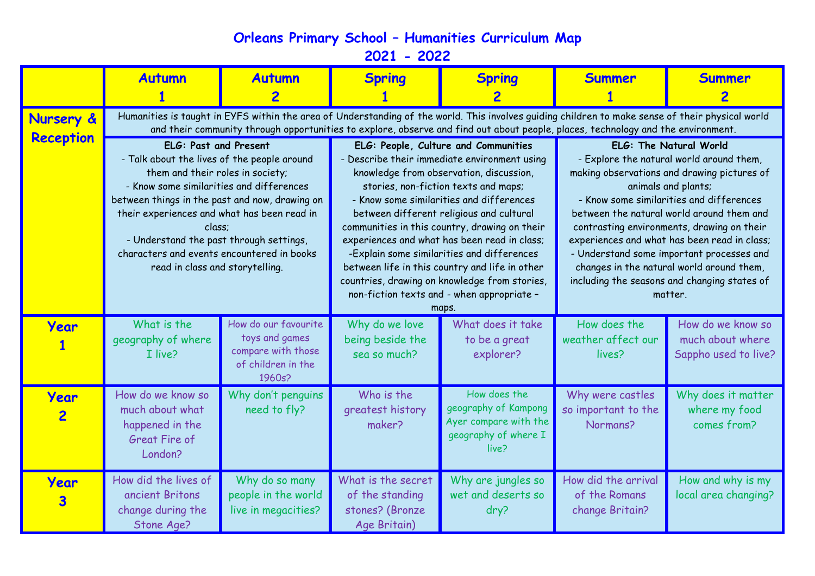**Orleans Primary School – Humanities Curriculum Map**

**2021 - 2022**

|                        | <b>Autumn</b>                                                                                                                                                                                                                                                                                                                                                                               | <b>Autumn</b>                                                                                | <b>Spring</b>                                                                                                                                                                                                                                                                                                                                                                                                                                                                                                                                                            | <b>Spring</b>                                                                                  | <b>Summer</b>                                                                                                                                                                                                                                                                                                                                                                                                                                                                        | <b>Summer</b>                                                 |  |  |  |
|------------------------|---------------------------------------------------------------------------------------------------------------------------------------------------------------------------------------------------------------------------------------------------------------------------------------------------------------------------------------------------------------------------------------------|----------------------------------------------------------------------------------------------|--------------------------------------------------------------------------------------------------------------------------------------------------------------------------------------------------------------------------------------------------------------------------------------------------------------------------------------------------------------------------------------------------------------------------------------------------------------------------------------------------------------------------------------------------------------------------|------------------------------------------------------------------------------------------------|--------------------------------------------------------------------------------------------------------------------------------------------------------------------------------------------------------------------------------------------------------------------------------------------------------------------------------------------------------------------------------------------------------------------------------------------------------------------------------------|---------------------------------------------------------------|--|--|--|
| Nursery &              | Humanities is taught in EYFS within the area of Understanding of the world. This involves guiding children to make sense of their physical world<br>and their community through opportunities to explore, observe and find out about people, places, technology and the environment.                                                                                                        |                                                                                              |                                                                                                                                                                                                                                                                                                                                                                                                                                                                                                                                                                          |                                                                                                |                                                                                                                                                                                                                                                                                                                                                                                                                                                                                      |                                                               |  |  |  |
| <b>Reception</b>       | ELG: Past and Present<br>- Talk about the lives of the people around<br>them and their roles in society;<br>- Know some similarities and differences<br>between things in the past and now, drawing on<br>their experiences and what has been read in<br>class;<br>- Understand the past through settings,<br>characters and events encountered in books<br>read in class and storytelling. |                                                                                              | ELG: People, Culture and Communities<br>- Describe their immediate environment using<br>knowledge from observation, discussion,<br>stories, non-fiction texts and maps;<br>- Know some similarities and differences<br>between different religious and cultural<br>communities in this country, drawing on their<br>experiences and what has been read in class;<br>-Explain some similarities and differences<br>between life in this country and life in other<br>countries, drawing on knowledge from stories,<br>non-fiction texts and - when appropriate -<br>maps. |                                                                                                | ELG: The Natural World<br>- Explore the natural world around them,<br>making observations and drawing pictures of<br>animals and plants;<br>- Know some similarities and differences<br>between the natural world around them and<br>contrasting environments, drawing on their<br>experiences and what has been read in class;<br>- Understand some important processes and<br>changes in the natural world around them,<br>including the seasons and changing states of<br>matter. |                                                               |  |  |  |
| Year                   | What is the<br>geography of where<br>I live?                                                                                                                                                                                                                                                                                                                                                | How do our favourite<br>toys and games<br>compare with those<br>of children in the<br>1960s? | Why do we love<br>being beside the<br>sea so much?                                                                                                                                                                                                                                                                                                                                                                                                                                                                                                                       | What does it take<br>to be a great<br>explorer?                                                | How does the<br>weather affect our<br>lives?                                                                                                                                                                                                                                                                                                                                                                                                                                         | How do we know so<br>much about where<br>Sappho used to live? |  |  |  |
| Year<br>$\overline{2}$ | How do we know so<br>much about what<br>happened in the<br><b>Great Fire of</b><br>London?                                                                                                                                                                                                                                                                                                  | Why don't penguins<br>need to fly?                                                           | Who is the<br>greatest history<br>maker?                                                                                                                                                                                                                                                                                                                                                                                                                                                                                                                                 | How does the<br>geography of Kampong<br>Ayer compare with the<br>geography of where I<br>live? | Why were castles<br>so important to the<br>Normans?                                                                                                                                                                                                                                                                                                                                                                                                                                  | Why does it matter<br>where my food<br>comes from?            |  |  |  |
| Year<br>3              | How did the lives of<br>ancient Britons<br>change during the<br>Stone Age?                                                                                                                                                                                                                                                                                                                  | Why do so many<br>people in the world<br>live in megacities?                                 | What is the secret<br>of the standing<br>stones? (Bronze<br>Age Britain)                                                                                                                                                                                                                                                                                                                                                                                                                                                                                                 | Why are jungles so<br>wet and deserts so<br>dry?                                               | How did the arrival<br>of the Romans<br>change Britain?                                                                                                                                                                                                                                                                                                                                                                                                                              | How and why is my<br>local area changing?                     |  |  |  |